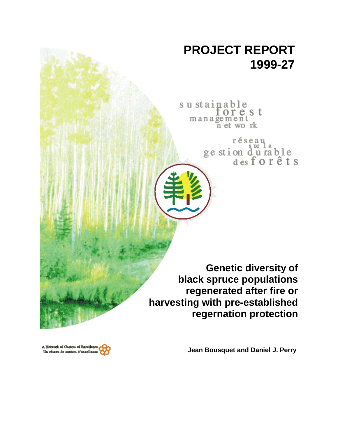# **PROJECT REPORT 1999-27**

sustainable orest management n et work

> réseau ge stion durable<br>desforêts

**Genetic diversity of black spruce populations regenerated after fire or harvesting with pre-established regernation protection**

**Jean Bousquet and Daniel J. Perry**

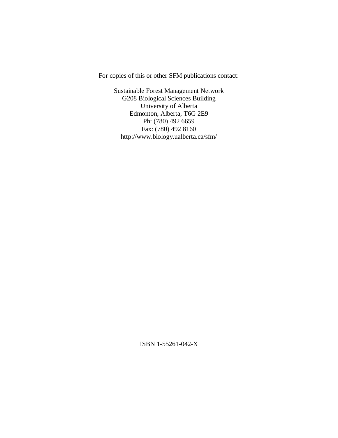For copies of this or other SFM publications contact:

Sustainable Forest Management Network G208 Biological Sciences Building University of Alberta Edmonton, Alberta, T6G 2E9 Ph: (780) 492 6659 Fax: (780) 492 8160 http://www.biology.ualberta.ca/sfm/

ISBN 1-55261-042-X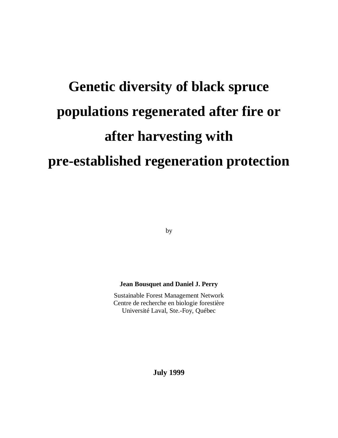# **Genetic diversity of black spruce populations regenerated after fire or after harvesting with pre-established regeneration protection**

by

#### **Jean Bousquet and Daniel J. Perry**

Sustainable Forest Management Network Centre de recherche en biologie forestière Université Laval, Ste.-Foy, Québec

**July 1999**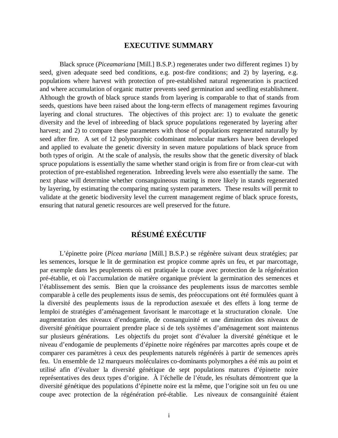#### **EXECUTIVE SUMMARY**

Black spruce (*Piceamariana* [Mill.] B.S.P.) regenerates under two different regimes 1) by seed, given adequate seed bed conditions, e.g. post-fire conditions; and 2) by layering, e.g. populations where harvest with protection of pre-established natural regeneration is practiced and where accumulation of organic matter prevents seed germination and seedling establishment. Although the growth of black spruce stands from layering is comparable to that of stands from seeds, questions have been raised about the long-term effects of management regimes favouring layering and clonal structures. The objectives of this project are: 1) to evaluate the genetic diversity and the level of inbreeding of black spruce populations regenerated by layering after harvest; and 2) to compare these parameters with those of populations regenerated naturally by seed after fire. A set of 12 polymorphic codominant molecular markers have been developed and applied to evaluate the genetic diversity in seven mature populations of black spruce from both types of origin. At the scale of analysis, the results show that the genetic diversity of black spruce populations is essentially the same whether stand origin is from fire or from clear-cut with protection of pre-established regeneration. Inbreeding levels were also essentially the same. The next phase will determine whether consanguineous mating is more likely in stands regenerated by layering, by estimating the comparing mating system parameters. These results will permit to validate at the genetic biodiversity level the current management regime of black spruce forests, ensuring that natural genetic resources are well preserved for the future.

# **RÉSUMÉ EXÉCUTIF**

L'épinette poire (*Picea mariana* [Mill.] B.S.P.) se régénère suivant deux stratégies; par les semences, lorsque le lit de germination est propice comme après un feu, et par marcottage, par exemple dans les peuplements où est pratiquée la coupe avec protection de la régénération pré-établie, et où l'accumulation de matière organique prévient la germination des semences et l'établissement des semis. Bien que la croissance des peuplements issus de marcottes semble comparable à celle des peuplements issus de semis, des préoccupations ont été formulées quant à la diversité des peuplements issus de la reproduction asexuée et des effets à long terme de lemploi de stratégies d'aménagement favorisant le marcottage et la structuration clonale. Une augmentation des niveaux d'endogamie, de consanguinité et une diminution des niveaux de diversité génétique pourraient prendre place si de tels systèmes d'aménagement sont maintenus sur plusieurs générations. Les objectifs du projet sont d'évaluer la diversité génétique et le niveau d'endogamie de peuplements d'épinette noire régénéres par marcottes après coupe et de comparer ces paramètres à ceux des peuplements naturels régénérés à partir de semences après feu. Un ensemble de 12 marqueurs moléculaires co-dominants polymorphes a été mis au point et utilisé afin d'évaluer la diversité génétique de sept populations matures d'épinette noire représentatives des deux types d'origine. À l'échelle de l'étude, les résultats démontrent que la diversité génétique des populations d'épinette noire est la même, que l'origine soit un feu ou une coupe avec protection de la régénération pré-établie. Les niveaux de consanguinité étaient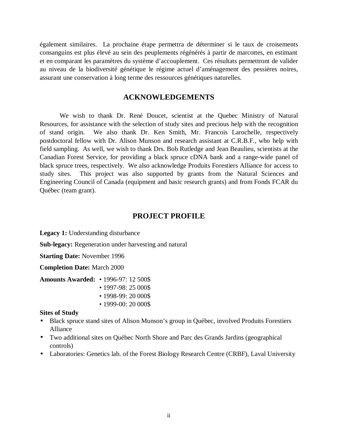également similaires. La prochaine étape permettra de déterminer si le taux de croisements consanguins est plus élevé au sein des peuplements régénérés à partir de marcottes, en estimant et en comparant les paramètres du système d'accouplement. Ces résultats permettront de valider au niveau de la biodiversité génétique le régime actuel d'aménagement des pessières noires, assurant une conservation à long terme des ressources génétiques naturelles.

#### **ACKNOWLEDGEMENTS**

We wish to thank Dr. René Doucet, scientist at the Quebec Ministry of Natural Resources, for assistance with the selection of study sites and precious help with the recognition of stand origin. We also thank Dr. Ken Smith, Mr. Francois Larochelle, respectively postdoctoral fellow with Dr. Alison Munson and research assistant at C.R.B.F., who help with field sampling. As well, we wish to thank Drs. Bob Rutledge and Jean Beaulieu, scientists at the Canadian Forest Service, for providing a black spruce cDNA bank and a range-wide panel of black spruce trees, respectively. We also acknowledge Produits Forestiers Alliance for access to study sites. This project was also supported by grants from the Natural Sciences and Engineering Council of Canada (equipment and basic research grants) and from Fonds FCAR du Québec (team grant).

#### **PROJECT PROFILE**

Legacy 1: Understanding disturbance

**Sub-legacy:** Regeneration under harvesting and natural

**Starting Date:** November 1996

**Completion Date:** March 2000

**Amounts Awarded:** • 1996-97: 12 500\$

- 1997-98: 25 000\$
- 1998-99: 20 000\$
- 1999-00: 20 000\$

#### **Sites of Study**

- Black spruce stand sites of Alison Munson's group in Québec, involved Produits Forestiers Alliance
- Two additional sites on Québec North Shore and Parc des Grands Jardins (geographical controls)
- Laboratories: Genetics lab. of the Forest Biology Research Centre (CRBF), Laval University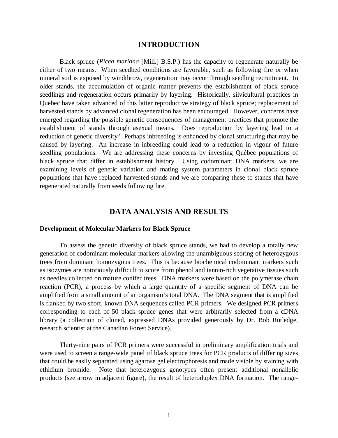#### **INTRODUCTION**

Black spruce (*Picea mariana* [Mill.] B.S.P.) has the capacity to regenerate naturally be either of two means. When seedbed conditions are favorable, such as following fire or when mineral soil is exposed by windthrow, regeneration may occur through seedling recruitment. In older stands, the accumulation of organic matter prevents the establishment of black spruce seedlings and regeneration occurs primarily by layering. Historically, silvicultural practices in Quebec have taken advanced of this latter reproductive strategy of black spruce; replacement of harvested stands by advanced clonal regeneration has been encouraged. However, concerns have emerged regarding the possible genetic consequences of management practices that promote the establishment of stands through asexual means. Does reproduction by layering lead to a reduction of genetic diversity? Perhaps inbreeding is enhanced by clonal structuring that may be caused by layering. An increase in inbreeding could lead to a reduction in vigour of future seedling populations. We are addressing these concerns by investing Québec populations of black spruce that differ in establishment history. Using codominant DNA markers, we are examining levels of genetic variation and mating system parameters in clonal black spruce populations that have replaced harvested stands and we are comparing these to stands that have regenerated naturally from seeds following fire.

#### **DATA ANALYSIS AND RESULTS**

#### **Development of Molecular Markers for Black Spruce**

To assess the genetic diversity of black spruce stands, we had to develop a totally new generation of codominant molecular markers allowing the unambiguous scoring of heterozygous trees from dominant homozygous trees. This is because biochemical codominant markers such as isozymes are notoriously difficult to score from phenol and tannin-rich vegetative tissues such as needles collected on mature conifer trees. DNA markers were based on the polymerase chain reaction (PCR), a process by which a large quantity of a specific segment of DNA can be amplified from a small amount of an organism's total DNA. The DNA segment that is amplified is flanked by two short, known DNA sequences called PCR primers. We designed PCR primers corresponding to each of 50 black spruce genes that were arbitrarily selected from a cDNA library (a collection of cloned, expressed DNAs provided generously by Dr. Bob Rutledge, research scientist at the Canadian Forest Service).

Thirty-nine pairs of PCR primers were successful in preliminary amplification trials and were used to screen a range-wide panel of black spruce trees for PCR products of differing sizes that could be easily separated using agarose gel electrophoresis and made visible by staining with ethidium bromide. Note that heterozygous genotypes often present additional nonallelic products (see arrow in adjacent figure), the result of heteroduplex DNA formation. The range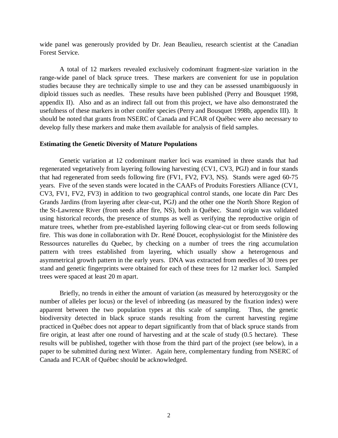wide panel was generously provided by Dr. Jean Beaulieu, research scientist at the Canadian Forest Service.

A total of 12 markers revealed exclusively codominant fragment-size variation in the range-wide panel of black spruce trees. These markers are convenient for use in population studies because they are technically simple to use and they can be assessed unambiguously in diploid tissues such as needles. These results have been published (Perry and Bousquet 1998, appendix II). Also and as an indirect fall out from this project, we have also demonstrated the usefulness of these markers in other conifer species (Perry and Bousquet 1998b, appendix III). It should be noted that grants from NSERC of Canada and FCAR of Québec were also necessary to develop fully these markers and make them available for analysis of field samples.

#### **Estimating the Genetic Diversity of Mature Populations**

Genetic variation at 12 codominant marker loci was examined in three stands that had regenerated vegetatively from layering following harvesting (CV1, CV3, PGJ) and in four stands that had regenerated from seeds following fire (FV1, FV2, FV3, NS). Stands were aged 60-75 years. Five of the seven stands were located in the CAAFs of Produits Forestiers Alliance (CV1, CV3, FV1, FV2, FV3) in addition to two geographical control stands, one locate din Parc Des Grands Jardins (from layering after clear-cut, PGJ) and the other one the North Shore Region of the St-Lawrence River (from seeds after fire, NS), both in Québec. Stand origin was validated using historical records, the presence of stumps as well as verifying the reproductive origin of mature trees, whether from pre-established layering following clear-cut or from seeds following fire. This was done in collaboration with Dr. René Doucet, ecophysiologist for the Ministère des Ressources naturelles du Quebec, by checking on a number of trees the ring accumulation pattern with trees established from layering, which usually show a heterogenous and asymmetrical growth pattern in the early years. DNA was extracted from needles of 30 trees per stand and genetic fingerprints were obtained for each of these trees for 12 marker loci. Sampled trees were spaced at least 20 m apart.

Briefly, no trends in either the amount of variation (as measured by heterozygosity or the number of alleles per locus) or the level of inbreeding (as measured by the fixation index) were apparent between the two population types at this scale of sampling. Thus, the genetic biodiversity detected in black spruce stands resulting from the current harvesting regime practiced in Québec does not appear to depart significantly from that of black spruce stands from fire origin, at least after one round of harvesting and at the scale of study (0.5 hectare). These results will be published, together with those from the third part of the project (see below), in a paper to be submitted during next Winter. Again here, complementary funding from NSERC of Canada and FCAR of Québec should be acknowledged.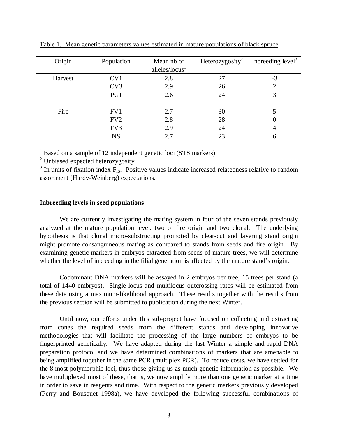| Origin  | Population      | Mean nb of<br>alleles/ $locus1$ | Heterozygosity <sup>2</sup> | Indreeding $level3$ |
|---------|-----------------|---------------------------------|-----------------------------|---------------------|
| Harvest | CV1             | 2.8                             | 27                          | $-3$                |
|         | CV <sub>3</sub> | 2.9                             | 26                          | ∍                   |
|         | PGJ             | 2.6                             | 24                          |                     |
| Fire    | FV1             | 2.7                             | 30                          | 5                   |
|         | FV <sub>2</sub> | 2.8                             | 28                          |                     |
|         | FV3             | 2.9                             | 24                          |                     |
|         | <b>NS</b>       | 2.7                             | 23                          |                     |

Table 1. Mean genetic parameters values estimated in mature populations of black spruce

<sup>1</sup> Based on a sample of 12 independent genetic loci (STS markers).

<sup>2</sup> Unbiased expected heterozygosity.

 $3$  In units of fixation index  $F_{IS}$ . Positive values indicate increased relatedness relative to random assortment (Hardy-Weinberg) expectations.

#### **Inbreeding levels in seed populations**

We are currently investigating the mating system in four of the seven stands previously analyzed at the mature population level: two of fire origin and two clonal. The underlying hypothesis is that clonal micro-substructing promoted by clear-cut and layering stand origin might promote consanguineous mating as compared to stands from seeds and fire origin. By examining genetic markers in embryos extracted from seeds of mature trees, we will determine whether the level of inbreeding in the filial generation is affected by the mature stand's origin.

Codominant DNA markers will be assayed in 2 embryos per tree, 15 trees per stand (a total of 1440 embryos). Single-locus and multilocus outcrossing rates will be estimated from these data using a maximum-likelihood approach. These results together with the results from the previous section will be submitted to publication during the next Winter.

Until now, our efforts under this sub-project have focused on collecting and extracting from cones the required seeds from the different stands and developing innovative methodologies that will facilitate the processing of the large numbers of embryos to be fingerprinted genetically. We have adapted during the last Winter a simple and rapid DNA preparation protocol and we have determined combinations of markers that are amenable to being amplified together in the same PCR (multiplex PCR). To reduce costs, we have settled for the 8 most polymorphic loci, thus those giving us as much genetic information as possible. We have multiplexed most of these, that is, we now amplify more than one genetic marker at a time in order to save in reagents and time. With respect to the genetic markers previously developed (Perry and Bousquet 1998a), we have developed the following successful combinations of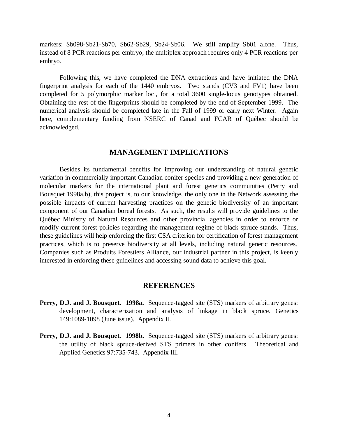markers: Sb098-Sb21-Sb70, Sb62-Sb29, Sb24-Sb06. We still amplify Sb01 alone. Thus, instead of 8 PCR reactions per embryo, the multiplex approach requires only 4 PCR reactions per embryo.

Following this, we have completed the DNA extractions and have initiated the DNA fingerprint analysis for each of the 1440 embryos. Two stands (CV3 and FV1) have been completed for 5 polymorphic marker loci, for a total 3600 single-locus genotypes obtained. Obtaining the rest of the fingerprints should be completed by the end of September 1999. The numerical analysis should be completed late in the Fall of 1999 or early next Winter. Again here, complementary funding from NSERC of Canad and FCAR of Québec should be acknowledged.

#### **MANAGEMENT IMPLICATIONS**

Besides its fundamental benefits for improving our understanding of natural genetic variation in commercially important Canadian conifer species and providing a new generation of molecular markers for the international plant and forest genetics communities (Perry and Bousquet 1998a,b), this project is, to our knowledge, the only one in the Network assessing the possible impacts of current harvesting practices on the genetic biodiversity of an important component of our Canadian boreal forests. As such, the results will provide guidelines to the Québec Ministry of Natural Resources and other provincial agencies in order to enforce or modify current forest policies regarding the management regime of black spruce stands. Thus, these guidelines will help enforcing the first CSA criterion for certification of forest management practices, which is to preserve biodiversity at all levels, including natural genetic resources. Companies such as Produits Forestiers Alliance, our industrial partner in this project, is keenly interested in enforcing these guidelines and accessing sound data to achieve this goal.

#### **REFERENCES**

- **Perry, D.J. and J. Bousquet. 1998a.** Sequence-tagged site (STS) markers of arbitrary genes: development, characterization and analysis of linkage in black spruce. Genetics 149:1089-1098 (June issue). Appendix II.
- **Perry, D.J. and J. Bousquet. 1998b.** Sequence-tagged site (STS) markers of arbitrary genes: the utility of black spruce-derived STS primers in other conifers. Theoretical and Applied Genetics 97:735-743. Appendix III.